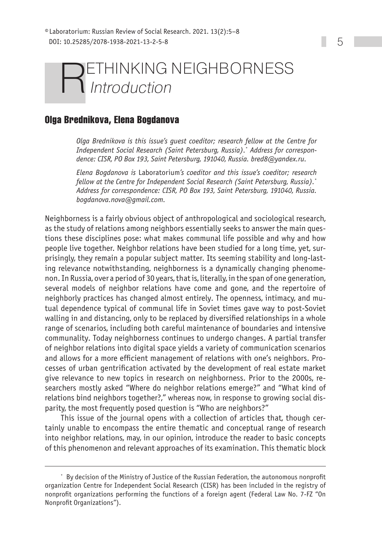## ETHINKING NEIGHBORNESS Introduction

## **Olga Brednikova, Elena Bogdanova**

*Olga Brednikova is this issue's guest coeditor; research fellow at the Centre for Independent Social Research (Saint Petersburg, Russia).*\* *Address for correspondence: CISR, PO Box 193, Saint Petersburg, 191040, Russia. [bred8@yandex.ru.](mailto:bred8@yandex.ru)* 

*Elena Bogdanova is* Laboratorium*'s coeditor and this issue's coeditor; research fellow at the Centre for Independent Social Research (Saint Petersburg, Russia).*\* *Address for correspondence: CISR, PO Box 193, Saint Petersburg, 191040, Russia. [bogdanova.nova@gmail.com.](mailto:bogdanova.nova@gmail.com)*

Neighborness is a fairly obvious object of anthropological and sociological research, as the study of relations among neighbors essentially seeks to answer the main questions these disciplines pose: what makes communal life possible and why and how people live together. Neighbor relations have been studied for a long time, yet, surprisingly, they remain a popular subject matter. Its seeming stability and long-lasting relevance notwithstanding, neighborness is a dynamically changing phenomenon. In Russia, over a period of 30 years, that is, literally, in the span of one generation, several models of neighbor relations have come and gone, and the repertoire of neighborly practices has changed almost entirely. The openness, intimacy, and mutual dependence typical of communal life in Soviet times gave way to post-Soviet walling in and distancing, only to be replaced by diversified relationships in a whole range of scenarios, including both careful maintenance of boundaries and intensive communality. Today neighborness continues to undergo changes. A partial transfer of neighbor relations into digital space yields a variety of communication scenarios and allows for a more efficient management of relations with one's neighbors. Processes of urban gentrification activated by the development of real estate market give relevance to new topics in research on neighborness. Prior to the 2000s, researchers mostly asked "Where do neighbor relations emerge?" and "What kind of relations bind neighbors together?," whereas now, in response to growing social disparity, the most frequently posed question is "Who are neighbors?"

This issue of the journal opens with a collection of articles that, though certainly unable to encompass the entire thematic and conceptual range of research into neighbor relations, may, in our opinion, introduce the reader to basic concepts of this phenomenon and relevant approaches of its examination. This thematic block

<sup>\*</sup> By decision of the Ministry of Justice of the Russian Federation, the autonomous nonprofit organization Centre for Independent Social Research (CISR) has been included in the registry of nonprofit organizations performing the functions of a foreign agent (Federal Law No. 7-FZ "On Nonprofit Organizations").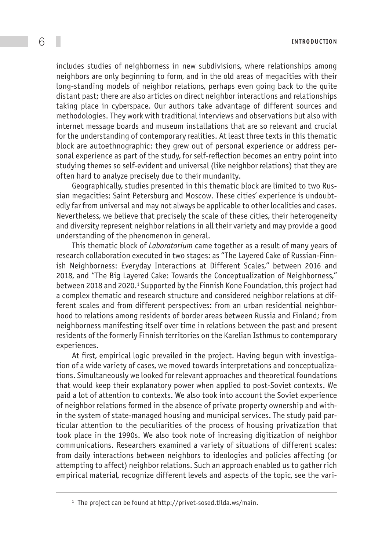6 **Introduct ion**

includes studies of neighborness in new subdivisions, where relationships among neighbors are only beginning to form, and in the old areas of megacities with their long-standing models of neighbor relations, perhaps even going back to the quite distant past; there are also articles on direct neighbor interactions and relationships taking place in cyberspace. Our authors take advantage of different sources and methodologies. They work with traditional interviews and observations but also with internet message boards and museum installations that are so relevant and crucial for the understanding of contemporary realities. At least three texts in this thematic block are autoethnographic: they grew out of personal experience or address personal experience as part of the study, for self-reflection becomes an entry point into studying themes so self-evident and universal (like neighbor relations) that they are often hard to analyze precisely due to their mundanity.

Geographically, studies presented in this thematic block are limited to two Russian megacities: Saint Petersburg and Moscow. These cities' experience is undoubtedly far from universal and may not always be applicable to other localities and cases. Nevertheless, we believe that precisely the scale of these cities, their heterogeneity and diversity represent neighbor relations in all their variety and may provide a good understanding of the phenomenon in general.

This thematic block of *Laboratorium* came together as a result of many years of research collaboration executed in two stages: as "The Layered Cake of Russian-Finnish Neighborness: Everyday Interactions at Different Scales," between 2016 and 2018, and "The Big Layered Cake: Towards the Conceptualization of Neighborness," between 2018 and 2020.<sup>1</sup> Supported by the Finnish Kone Foundation, this project had a complex thematic and research structure and considered neighbor relations at different scales and from different perspectives: from an urban residential neighborhood to relations among residents of border areas between Russia and Finland; from neighborness manifesting itself over time in relations between the past and present residents of the formerly Finnish territories on the Karelian Isthmus to contemporary experiences.

At first, empirical logic prevailed in the project. Having begun with investigation of a wide variety of cases, we moved towards interpretations and conceptualizations. Simultaneously we looked for relevant approaches and theoretical foundations that would keep their explanatory power when applied to post-Soviet contexts. We paid a lot of attention to contexts. We also took into account the Soviet experience of neighbor relations formed in the absence of private property ownership and within the system of state-managed housing and municipal services. The study paid particular attention to the peculiarities of the process of housing privatization that took place in the 1990s. We also took note of increasing digitization of neighbor communications. Researchers examined a variety of situations of different scales: from daily interactions between neighbors to ideologies and policies affecting (or attempting to affect) neighbor relations. Such an approach enabled us to gather rich empirical material, recognize different levels and aspects of the topic, see the vari-

<sup>&</sup>lt;sup>1</sup> The project can be found at<http://privet-sosed.tilda.ws/main>.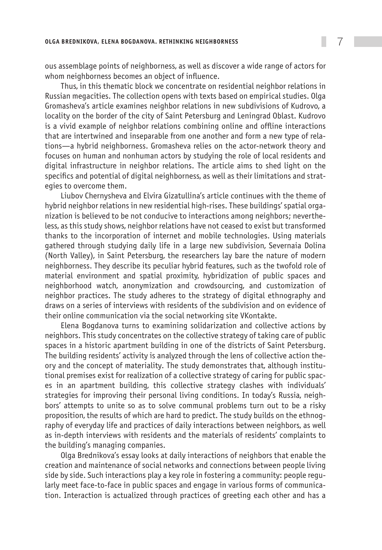ous assemblage points of neighborness, as well as discover a wide range of actors for whom neighborness becomes an object of influence.

Thus, in this thematic block we concentrate on residential neighbor relations in Russian megacities. The collection opens with texts based on empirical studies. Olga Gromasheva's article examines neighbor relations in new subdivisions of Kudrovo, a locality on the border of the city of Saint Petersburg and Leningrad Oblast. Kudrovo is a vivid example of neighbor relations combining online and offline interactions that are intertwined and inseparable from one another and form a new type of relations—a hybrid neighborness. Gromasheva relies on the actor-network theory and focuses on human and nonhuman actors by studying the role of local residents and digital infrastructure in neighbor relations. The article aims to shed light on the specifics and potential of digital neighborness, as well as their limitations and strategies to overcome them.

Liubov Chernysheva and Elvira Gizatullina's article continues with the theme of hybrid neighbor relations in new residential high-rises. These buildings' spatial organization is believed to be not conducive to interactions among neighbors; nevertheless, as this study shows, neighbor relations have not ceased to exist but transformed thanks to the incorporation of internet and mobile technologies. Using materials gathered through studying daily life in a large new subdivision, Severnaia Dolina (North Valley), in Saint Petersburg, the researchers lay bare the nature of modern neighborness. They describe its peculiar hybrid features, such as the twofold role of material environment and spatial proximity, hybridization of public spaces and neighborhood watch, anonymization and crowdsourcing, and customization of neighbor practices. The study adheres to the strategy of digital ethnography and draws on a series of interviews with residents of the subdivision and on evidence of their online communication via the social networking site VKontakte.

Elena Bogdanova turns to examining solidarization and collective actions by neighbors. This study concentrates on the collective strategy of taking care of public spaces in a historic apartment building in one of the districts of Saint Petersburg. The building residents' activity is analyzed through the lens of collective action theory and the concept of materiality. The study demonstrates that, although institutional premises exist for realization of a collective strategy of caring for public spaces in an apartment building, this collective strategy clashes with individuals' strategies for improving their personal living conditions. In today's Russia, neighbors' attempts to unite so as to solve communal problems turn out to be a risky proposition, the results of which are hard to predict. The study builds on the ethnography of everyday life and practices of daily interactions between neighbors, as well as in-depth interviews with residents and the materials of residents' complaints to the building's managing companies.

Olga Brednikova's essay looks at daily interactions of neighbors that enable the creation and maintenance of social networks and connections between people living side by side. Such interactions play a key role in fostering a community: people regularly meet face-to-face in public spaces and engage in various forms of communication. Interaction is actualized through practices of greeting each other and has a